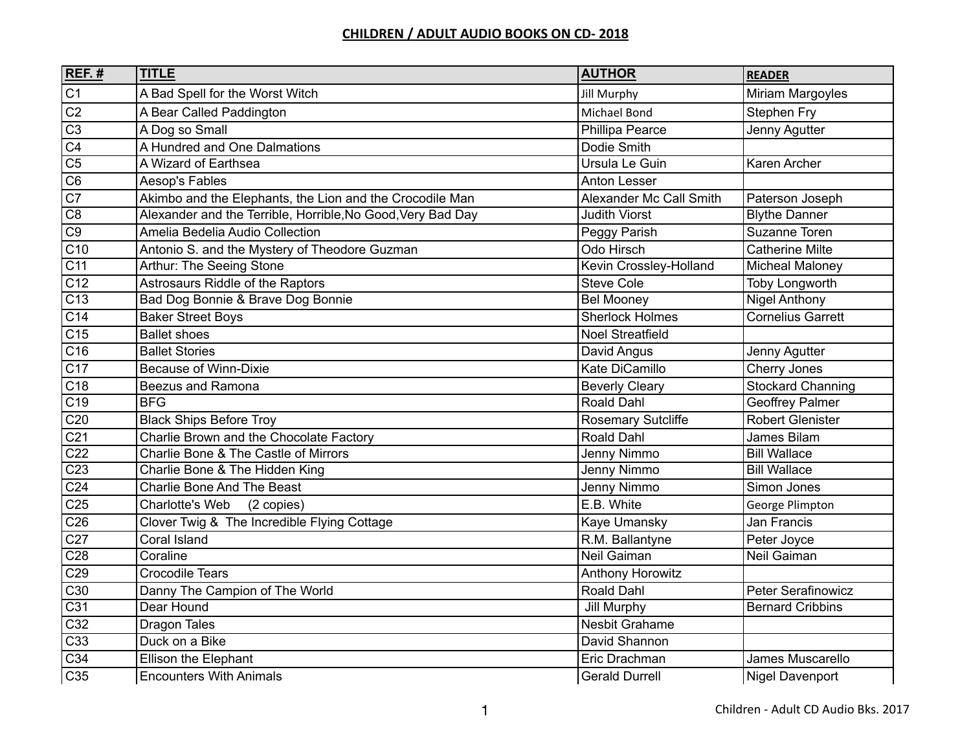| $REF.$ #         | <b>TITLE</b>                                                | <b>AUTHOR</b>             | <b>READER</b>            |
|------------------|-------------------------------------------------------------|---------------------------|--------------------------|
| C1               | A Bad Spell for the Worst Witch                             | <b>Jill Murphy</b>        | Miriam Margoyles         |
| $\overline{C2}$  | A Bear Called Paddington                                    | Michael Bond              | Stephen Fry              |
| $\overline{C3}$  | A Dog so Small                                              | Phillipa Pearce           | Jenny Agutter            |
| $\overline{C4}$  | A Hundred and One Dalmations                                | Dodie Smith               |                          |
| $\overline{C5}$  | A Wizard of Earthsea                                        | Ursula Le Guin            | Karen Archer             |
| $\overline{C6}$  | Aesop's Fables                                              | <b>Anton Lesser</b>       |                          |
| C7               | Akimbo and the Elephants, the Lion and the Crocodile Man    | Alexander Mc Call Smith   | Paterson Joseph          |
| $\overline{C8}$  | Alexander and the Terrible, Horrible, No Good, Very Bad Day | <b>Judith Viorst</b>      | <b>Blythe Danner</b>     |
| C9               | Amelia Bedelia Audio Collection                             | Peggy Parish              | Suzanne Toren            |
| C10              | Antonio S. and the Mystery of Theodore Guzman               | Odo Hirsch                | <b>Catherine Milte</b>   |
| C11              | Arthur: The Seeing Stone                                    | Kevin Crossley-Holland    | <b>Micheal Maloney</b>   |
| $\overline{C12}$ | Astrosaurs Riddle of the Raptors                            | <b>Steve Cole</b>         | Toby Longworth           |
| C13              | Bad Dog Bonnie & Brave Dog Bonnie                           | <b>Bel Mooney</b>         | <b>Nigel Anthony</b>     |
| $\overline{C14}$ | <b>Baker Street Boys</b>                                    | <b>Sherlock Holmes</b>    | <b>Cornelius Garrett</b> |
| C15              | <b>Ballet shoes</b>                                         | <b>Noel Streatfield</b>   |                          |
| C16              | <b>Ballet Stories</b>                                       | David Angus               | Jenny Agutter            |
| C17              | <b>Because of Winn-Dixie</b>                                | Kate DiCamillo            | Cherry Jones             |
| $\overline{C18}$ | <b>Beezus and Ramona</b>                                    | <b>Beverly Cleary</b>     | <b>Stockard Channing</b> |
| $\overline{C19}$ | <b>BFG</b>                                                  | Roald Dahl                | <b>Geoffrey Palmer</b>   |
| C <sub>20</sub>  | <b>Black Ships Before Troy</b>                              | <b>Rosemary Sutcliffe</b> | Robert Glenister         |
| C <sub>21</sub>  | Charlie Brown and the Chocolate Factory                     | <b>Roald Dahl</b>         | James Bilam              |
| C <sub>22</sub>  | Charlie Bone & The Castle of Mirrors                        | Jenny Nimmo               | <b>Bill Wallace</b>      |
| C <sub>23</sub>  | Charlie Bone & The Hidden King                              | Jenny Nimmo               | <b>Bill Wallace</b>      |
| C <sub>24</sub>  | <b>Charlie Bone And The Beast</b>                           | Jenny Nimmo               | Simon Jones              |
| C <sub>25</sub>  | Charlotte's Web<br>(2 copies)                               | E.B. White                | George Plimpton          |
| C <sub>26</sub>  | Clover Twig & The Incredible Flying Cottage                 | Kaye Umansky              | <b>Jan Francis</b>       |
| C27              | Coral Island                                                | R.M. Ballantyne           | Peter Joyce              |
| C <sub>28</sub>  | Coraline                                                    | Neil Gaiman               | Neil Gaiman              |
| C29              | <b>Crocodile Tears</b>                                      | <b>Anthony Horowitz</b>   |                          |
| $\overline{C30}$ | Danny The Campion of The World                              | Roald Dahl                | Peter Serafinowicz       |
| $\overline{C31}$ | Dear Hound                                                  | Jill Murphy               | <b>Bernard Cribbins</b>  |
| C32              | <b>Dragon Tales</b>                                         | Nesbit Grahame            |                          |
| C33              | Duck on a Bike                                              | David Shannon             |                          |
| C34              | Ellison the Elephant                                        | Eric Drachman             | James Muscarello         |
| C35              | <b>Encounters With Animals</b>                              | <b>Gerald Durrell</b>     | <b>Nigel Davenport</b>   |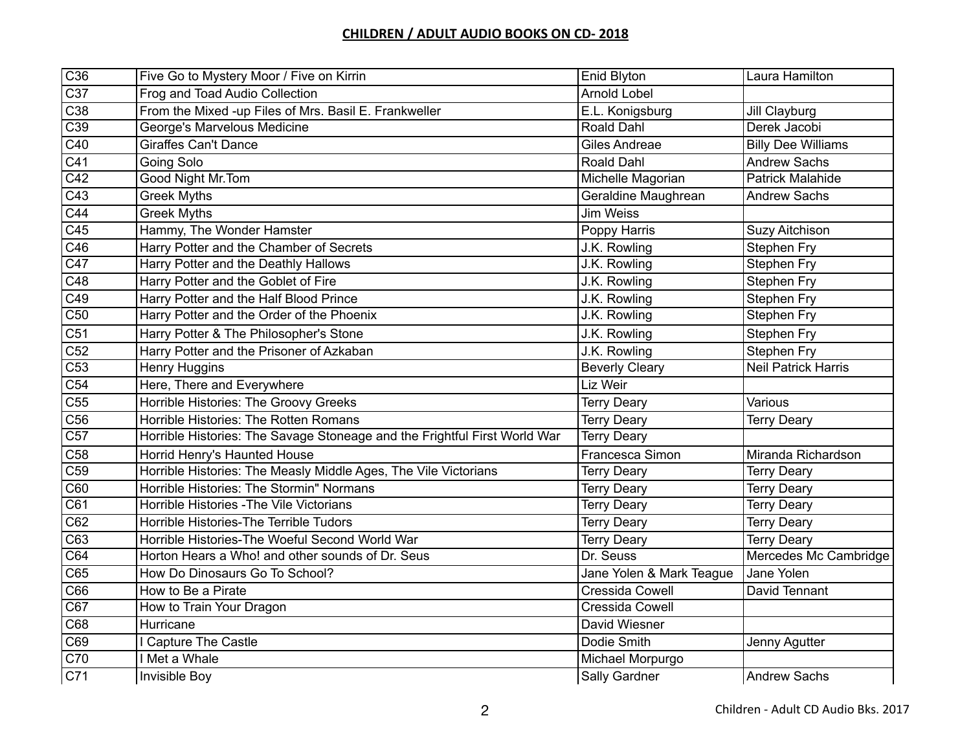| C36              | Five Go to Mystery Moor / Five on Kirrin                                  | Enid Blyton              | Laura Hamilton             |
|------------------|---------------------------------------------------------------------------|--------------------------|----------------------------|
| C37              | Frog and Toad Audio Collection                                            | <b>Arnold Lobel</b>      |                            |
| C38              | From the Mixed -up Files of Mrs. Basil E. Frankweller                     | E.L. Konigsburg          | Jill Clayburg              |
| C39              | George's Marvelous Medicine                                               | Roald Dahl               | Derek Jacobi               |
| C40              | <b>Giraffes Can't Dance</b>                                               | <b>Giles Andreae</b>     | <b>Billy Dee Williams</b>  |
| C41              | Going Solo                                                                | Roald Dahl               | <b>Andrew Sachs</b>        |
| C42              | Good Night Mr.Tom                                                         | Michelle Magorian        | <b>Patrick Malahide</b>    |
| C43              | <b>Greek Myths</b>                                                        | Geraldine Maughrean      | <b>Andrew Sachs</b>        |
| C44              | <b>Greek Myths</b>                                                        | <b>Jim Weiss</b>         |                            |
| C45              | Hammy, The Wonder Hamster                                                 | Poppy Harris             | Suzy Aitchison             |
| C46              | Harry Potter and the Chamber of Secrets                                   | J.K. Rowling             | Stephen Fry                |
| $\overline{C47}$ | Harry Potter and the Deathly Hallows                                      | J.K. Rowling             | Stephen Fry                |
| C48              | Harry Potter and the Goblet of Fire                                       | J.K. Rowling             | Stephen Fry                |
| C49              | Harry Potter and the Half Blood Prince                                    | J.K. Rowling             | Stephen Fry                |
| C50              | Harry Potter and the Order of the Phoenix                                 | J.K. Rowling             | <b>Stephen Fry</b>         |
| C <sub>51</sub>  | Harry Potter & The Philosopher's Stone                                    | J.K. Rowling             | Stephen Fry                |
| C52              | Harry Potter and the Prisoner of Azkaban                                  | J.K. Rowling             | Stephen Fry                |
| C53              | <b>Henry Huggins</b>                                                      | <b>Beverly Cleary</b>    | <b>Neil Patrick Harris</b> |
| C54              | Here, There and Everywhere                                                | Liz Weir                 |                            |
| C55              | Horrible Histories: The Groovy Greeks                                     | <b>Terry Deary</b>       | Various                    |
| C56              | Horrible Histories: The Rotten Romans                                     | <b>Terry Deary</b>       | <b>Terry Deary</b>         |
| $\overline{C57}$ | Horrible Histories: The Savage Stoneage and the Frightful First World War | <b>Terry Deary</b>       |                            |
| C <sub>58</sub>  | Horrid Henry's Haunted House                                              | Francesca Simon          | Miranda Richardson         |
| C59              | Horrible Histories: The Measly Middle Ages, The Vile Victorians           | <b>Terry Deary</b>       | <b>Terry Deary</b>         |
| C60              | Horrible Histories: The Stormin" Normans                                  | <b>Terry Deary</b>       | <b>Terry Deary</b>         |
| $\overline{C61}$ | Horrible Histories - The Vile Victorians                                  | <b>Terry Deary</b>       | <b>Terry Deary</b>         |
| C62              | Horrible Histories-The Terrible Tudors                                    | <b>Terry Deary</b>       | <b>Terry Deary</b>         |
| C63              | Horrible Histories-The Woeful Second World War                            | <b>Terry Deary</b>       | <b>Terry Deary</b>         |
| C64              | Horton Hears a Who! and other sounds of Dr. Seus                          | Dr. Seuss                | Mercedes Mc Cambridge      |
| C65              | How Do Dinosaurs Go To School?                                            | Jane Yolen & Mark Teague | Jane Yolen                 |
| C66              | How to Be a Pirate                                                        | Cressida Cowell          | David Tennant              |
| C67              | How to Train Your Dragon                                                  | Cressida Cowell          |                            |
| C68              | Hurricane                                                                 | David Wiesner            |                            |
| C69              | <b>Capture The Castle</b>                                                 | Dodie Smith              | Jenny Agutter              |
| C70              | I Met a Whale                                                             | Michael Morpurgo         |                            |
| C71              | <b>Invisible Boy</b>                                                      | Sally Gardner            | <b>Andrew Sachs</b>        |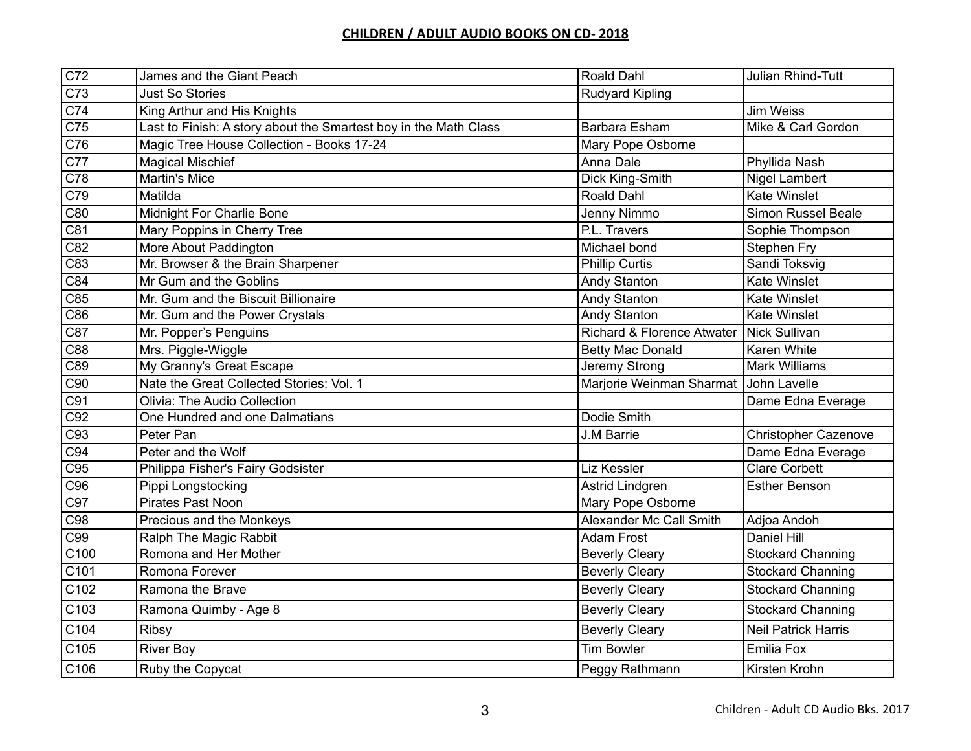| $\overline{C72}$  | James and the Giant Peach                                        | <b>Roald Dahl</b>                        | Julian Rhind-Tutt           |
|-------------------|------------------------------------------------------------------|------------------------------------------|-----------------------------|
| C73               | <b>Just So Stories</b>                                           | <b>Rudyard Kipling</b>                   |                             |
| C74               | King Arthur and His Knights                                      |                                          | Jim Weiss                   |
| C75               | Last to Finish: A story about the Smartest boy in the Math Class | <b>Barbara Esham</b>                     | Mike & Carl Gordon          |
| C76               | Magic Tree House Collection - Books 17-24                        | Mary Pope Osborne                        |                             |
| C77               | <b>Magical Mischief</b>                                          | Anna Dale                                | Phyllida Nash               |
| $\overline{C78}$  | <b>Martin's Mice</b>                                             | Dick King-Smith                          | <b>Nigel Lambert</b>        |
| C79               | Matilda                                                          | <b>Roald Dahl</b>                        | <b>Kate Winslet</b>         |
| C80               | <b>Midnight For Charlie Bone</b>                                 | Jenny Nimmo                              | <b>Simon Russel Beale</b>   |
| C81               | Mary Poppins in Cherry Tree                                      | P.L. Travers                             | Sophie Thompson             |
| C82               | More About Paddington                                            | Michael bond                             | Stephen Fry                 |
| $\overline{C83}$  | Mr. Browser & the Brain Sharpener                                | <b>Phillip Curtis</b>                    | Sandi Toksvig               |
| C84               | Mr Gum and the Goblins                                           | Andy Stanton                             | Kate Winslet                |
| C85               | Mr. Gum and the Biscuit Billionaire                              | <b>Andy Stanton</b>                      | <b>Kate Winslet</b>         |
| C86               | Mr. Gum and the Power Crystals                                   | Andy Stanton                             | <b>Kate Winslet</b>         |
| C87               | Mr. Popper's Penguins                                            | Richard & Florence Atwater Nick Sullivan |                             |
| C88               | Mrs. Piggle-Wiggle                                               | <b>Betty Mac Donald</b>                  | Karen White                 |
| C89               | My Granny's Great Escape                                         | Jeremy Strong                            | <b>Mark Williams</b>        |
| C90               | Nate the Great Collected Stories: Vol. 1                         | Marjorie Weinman Sharmat                 | John Lavelle                |
| C91               | Olivia: The Audio Collection                                     |                                          | Dame Edna Everage           |
| C92               | One Hundred and one Dalmatians                                   | Dodie Smith                              |                             |
| C93               | Peter Pan                                                        | J.M Barrie                               | <b>Christopher Cazenove</b> |
| C94               | Peter and the Wolf                                               |                                          | Dame Edna Everage           |
| C95               | Philippa Fisher's Fairy Godsister                                | Liz Kessler                              | <b>Clare Corbett</b>        |
| C96               | Pippi Longstocking                                               | Astrid Lindgren                          | <b>Esther Benson</b>        |
| $\overline{C97}$  | Pirates Past Noon                                                | Mary Pope Osborne                        |                             |
| C98               | Precious and the Monkeys                                         | Alexander Mc Call Smith                  | Adjoa Andoh                 |
| C99               | Ralph The Magic Rabbit                                           | <b>Adam Frost</b>                        | Daniel Hill                 |
| $\overline{C100}$ | Romona and Her Mother                                            | <b>Beverly Cleary</b>                    | <b>Stockard Channing</b>    |
| C101              | Romona Forever                                                   | <b>Beverly Cleary</b>                    | <b>Stockard Channing</b>    |
| C <sub>102</sub>  | Ramona the Brave                                                 | <b>Beverly Cleary</b>                    | <b>Stockard Channing</b>    |
| C <sub>103</sub>  | Ramona Quimby - Age 8                                            | <b>Beverly Cleary</b>                    | <b>Stockard Channing</b>    |
| C104              | <b>Ribsy</b>                                                     | <b>Beverly Cleary</b>                    | <b>Neil Patrick Harris</b>  |
| C105              | <b>River Boy</b>                                                 | <b>Tim Bowler</b>                        | Emilia Fox                  |
| C106              | Ruby the Copycat                                                 | Peggy Rathmann                           | Kirsten Krohn               |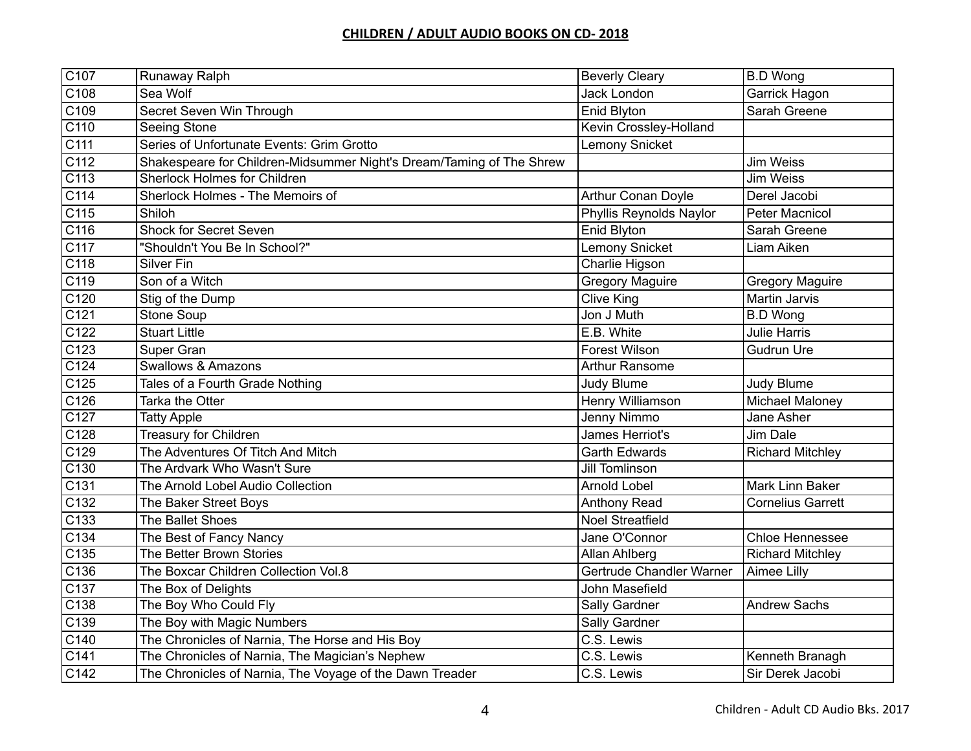| C107                      | Runaway Ralph                                                        | <b>Beverly Cleary</b>     | <b>B.D Wong</b>          |
|---------------------------|----------------------------------------------------------------------|---------------------------|--------------------------|
| $\overline{C108}$         | Sea Wolf                                                             | <b>Jack London</b>        | Garrick Hagon            |
| C109                      | Secret Seven Win Through                                             | Enid Blyton               | Sarah Greene             |
| CI10                      | Seeing Stone                                                         | Kevin Crossley-Holland    |                          |
| $\overline{C111}$         | Series of Unfortunate Events: Grim Grotto                            | <b>Lemony Snicket</b>     |                          |
| CI12                      | Shakespeare for Children-Midsummer Night's Dream/Taming of The Shrew |                           | <b>Jim Weiss</b>         |
| CI13                      | <b>Sherlock Holmes for Children</b>                                  |                           | <b>Jim Weiss</b>         |
| C114                      | Sherlock Holmes - The Memoirs of                                     | <b>Arthur Conan Doyle</b> | Derel Jacobi             |
| C115                      | Shiloh                                                               | Phyllis Reynolds Naylor   | <b>Peter Macnicol</b>    |
| C116                      | <b>Shock for Secret Seven</b>                                        | Enid Blyton               | Sarah Greene             |
| CI17                      | "Shouldn't You Be In School?"                                        | Lemony Snicket            | Liam Aiken               |
| C118                      | Silver Fin                                                           | Charlie Higson            |                          |
| CI19                      | Son of a Witch                                                       | <b>Gregory Maguire</b>    | <b>Gregory Maguire</b>   |
| C <sub>120</sub>          | Stig of the Dump                                                     | Clive King                | <b>Martin Jarvis</b>     |
| C121                      | Stone Soup                                                           | Jon J Muth                | <b>B.D Wong</b>          |
| C122                      | <b>Stuart Little</b>                                                 | E.B. White                | Julie Harris             |
| C123                      | Super Gran                                                           | <b>Forest Wilson</b>      | <b>Gudrun Ure</b>        |
| C124                      | <b>Swallows &amp; Amazons</b>                                        | <b>Arthur Ransome</b>     |                          |
| C125                      | Tales of a Fourth Grade Nothing                                      | <b>Judy Blume</b>         | Judy Blume               |
| C126                      | Tarka the Otter                                                      | Henry Williamson          | <b>Michael Maloney</b>   |
| CT27                      | <b>Tatty Apple</b>                                                   | Jenny Nimmo               | Jane Asher               |
| C128                      | <b>Treasury for Children</b>                                         | James Herriot's           | Jim Dale                 |
| C129                      | The Adventures Of Titch And Mitch                                    | <b>Garth Edwards</b>      | <b>Richard Mitchley</b>  |
| $\overline{C130}$         | The Ardvark Who Wasn't Sure                                          | Jill Tomlinson            |                          |
| $\overline{\text{C}}$ 131 | The Arnold Lobel Audio Collection                                    | <b>Arnold Lobel</b>       | Mark Linn Baker          |
| C132                      | The Baker Street Boys                                                | <b>Anthony Read</b>       | <b>Cornelius Garrett</b> |
| C133                      | The Ballet Shoes                                                     | <b>Noel Streatfield</b>   |                          |
| C134                      | The Best of Fancy Nancy                                              | Jane O'Connor             | <b>Chloe Hennessee</b>   |
| $\overline{C135}$         | The Better Brown Stories                                             | Allan Ahlberg             | <b>Richard Mitchley</b>  |
| C136                      | The Boxcar Children Collection Vol.8                                 | Gertrude Chandler Warner  | Aimee Lilly              |
| C <sub>137</sub>          | The Box of Delights                                                  | John Masefield            |                          |
| $\overline{C138}$         | The Boy Who Could Fly                                                | Sally Gardner             | <b>Andrew Sachs</b>      |
| C139                      | The Boy with Magic Numbers                                           | Sally Gardner             |                          |
| C140                      | The Chronicles of Narnia, The Horse and His Boy                      | C.S. Lewis                |                          |
| CI41                      | The Chronicles of Narnia, The Magician's Nephew                      | C.S. Lewis                | Kenneth Branagh          |
| C <sub>142</sub>          | The Chronicles of Narnia, The Voyage of the Dawn Treader             | $\overline{C}$ .S. Lewis  | Sir Derek Jacobi         |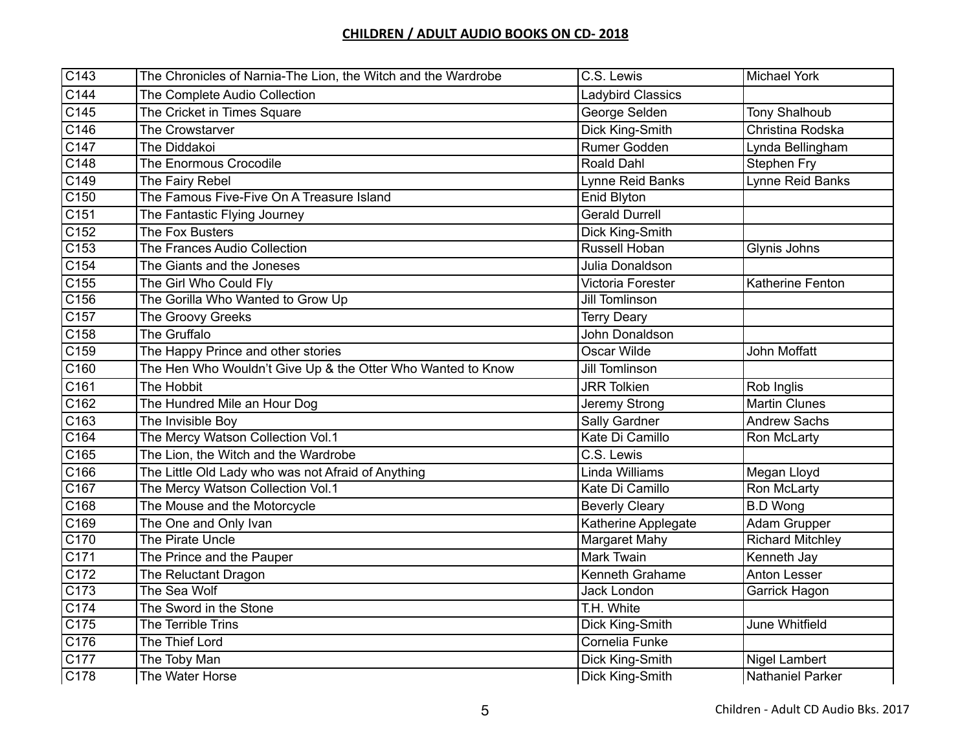| C143              | The Chronicles of Narnia-The Lion, the Witch and the Wardrobe | C.S. Lewis               | <b>Michael York</b>     |
|-------------------|---------------------------------------------------------------|--------------------------|-------------------------|
| C144              | The Complete Audio Collection                                 | <b>Ladybird Classics</b> |                         |
| C145              | The Cricket in Times Square                                   | George Selden            | <b>Tony Shalhoub</b>    |
| C146              | The Crowstarver                                               | Dick King-Smith          | Christina Rodska        |
| C147              | The Diddakoi                                                  | Rumer Godden             | Lynda Bellingham        |
| C148              | The Enormous Crocodile                                        | Roald Dahl               | <b>Stephen Fry</b>      |
| C149              | The Fairy Rebel                                               | Lynne Reid Banks         | Lynne Reid Banks        |
| $\overline{C150}$ | The Famous Five-Five On A Treasure Island                     | Enid Blyton              |                         |
| $\overline{C151}$ | The Fantastic Flying Journey                                  | <b>Gerald Durrell</b>    |                         |
| C152              | The Fox Busters                                               | Dick King-Smith          |                         |
| C153              | The Frances Audio Collection                                  | Russell Hoban            | Glynis Johns            |
| C154              | The Giants and the Joneses                                    | Julia Donaldson          |                         |
| C155              | The Girl Who Could Fly                                        | Victoria Forester        | Katherine Fenton        |
| C156              | The Gorilla Who Wanted to Grow Up                             | Jill Tomlinson           |                         |
| C157              | The Groovy Greeks                                             | <b>Terry Deary</b>       |                         |
| C158              | The Gruffalo                                                  | John Donaldson           |                         |
| C159              | The Happy Prince and other stories                            | Oscar Wilde              | John Moffatt            |
| C160              | The Hen Who Wouldn't Give Up & the Otter Who Wanted to Know   | Jill Tomlinson           |                         |
| C161              | The Hobbit                                                    | <b>JRR Tolkien</b>       | Rob Inglis              |
| C162              | The Hundred Mile an Hour Dog                                  | Jeremy Strong            | <b>Martin Clunes</b>    |
| C163              | The Invisible Boy                                             | Sally Gardner            | <b>Andrew Sachs</b>     |
| C164              | The Mercy Watson Collection Vol.1                             | Kate Di Camillo          | Ron McLarty             |
| C165              | The Lion, the Witch and the Wardrobe                          | $\overline{C}$ .S. Lewis |                         |
| C166              | The Little Old Lady who was not Afraid of Anything            | Linda Williams           | Megan Lloyd             |
| C167              | The Mercy Watson Collection Vol.1                             | Kate Di Camillo          | Ron McLarty             |
| C168              | The Mouse and the Motorcycle                                  | <b>Beverly Cleary</b>    | <b>B.D Wong</b>         |
| C169              | The One and Only Ivan                                         | Katherine Applegate      | Adam Grupper            |
| $\overline{C170}$ | The Pirate Uncle                                              | Margaret Mahy            | <b>Richard Mitchley</b> |
| $\overline{C171}$ | The Prince and the Pauper                                     | <b>Mark Twain</b>        | Kenneth Jay             |
| C172              | The Reluctant Dragon                                          | Kenneth Grahame          | Anton Lesser            |
| CT73              | The Sea Wolf                                                  | Jack London              | Garrick Hagon           |
| C174              | The Sword in the Stone                                        | T.H. White               |                         |
| C175              | The Terrible Trins                                            | Dick King-Smith          | <b>June Whitfield</b>   |
| C176              | The Thief Lord                                                | Cornelia Funke           |                         |
| C177              | The Toby Man                                                  | Dick King-Smith          | Nigel Lambert           |
| C178              | The Water Horse                                               | Dick King-Smith          | <b>Nathaniel Parker</b> |